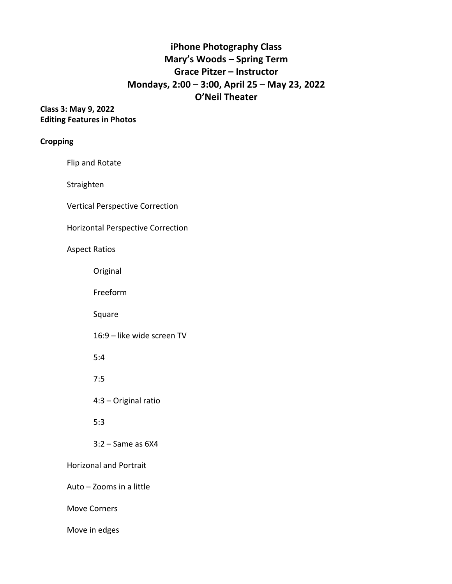# **iPhone Photography Class Mary's Woods – Spring Term Grace Pitzer – Instructor Mondays, 2:00 – 3:00, April 25 – May 23, 2022 O'Neil Theater**

### **Class 3: May 9, 2022 Editing Features in Photos**

### **Cropping**

Flip and Rotate

Straighten

Vertical Perspective Correction

Horizontal Perspective Correction

### Aspect Ratios

Original

Freeform

Square

16:9 – like wide screen TV

5:4

7:5

4:3 – Original ratio

5:3

3:2 – Same as 6X4

Horizonal and Portrait

Auto – Zooms in a little

Move Corners

Move in edges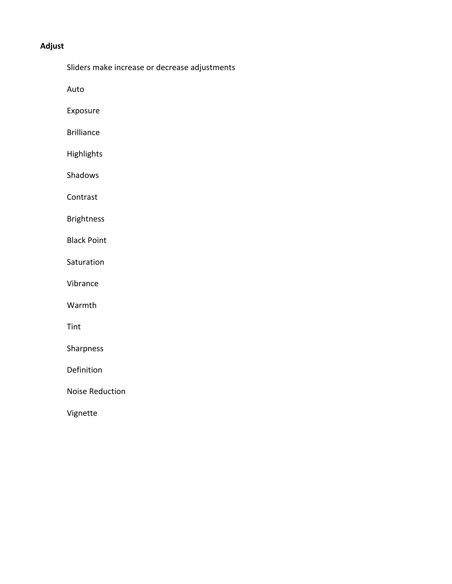## **Adjust**

Sliders make increase or decrease adjustments

Auto

Exposure

Brilliance

Highlights

Shadows

Contrast

Brightness

Black Point

Saturation

Vibrance

Warmth

Tint

Sharpness

Definition

Noise Reduction

Vignette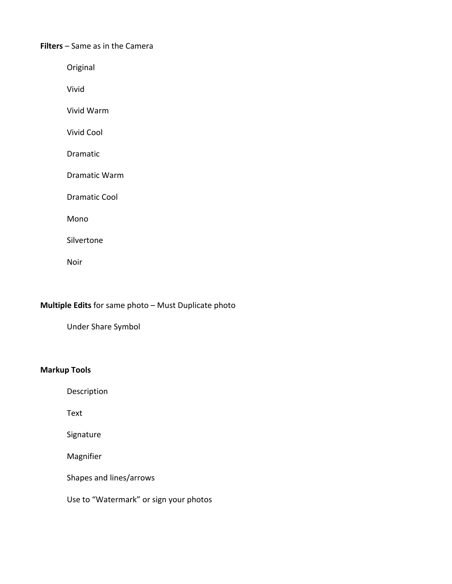#### **Filters** – Same as in the Camera

Original

Vivid

Vivid Warm

Vivid Cool

Dramatic

Dramatic Warm

Dramatic Cool

Mono

Silvertone

Noir

### **Multiple Edits** for same photo – Must Duplicate photo

Under Share Symbol

### **Markup Tools**

Description

Text

Signature

Magnifier

Shapes and lines/arrows

Use to "Watermark" or sign your photos